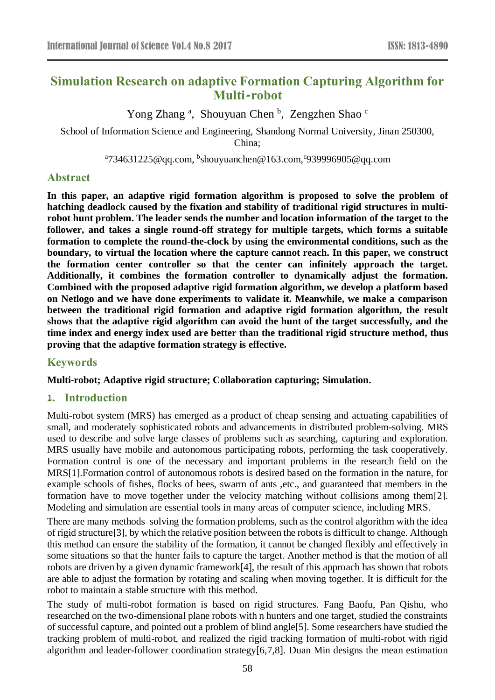# **Simulation Research on adaptive Formation Capturing Algorithm for Multi-robot**

Yong Zhang<sup>a</sup>, Shouyuan Chen<sup>b</sup>, Zengzhen Shao<sup>c</sup>

School of Information Science and Engineering, Shandong Normal University, Jinan 250300, China;

 $^{\circ}734631225$ @qq.com,  $^{\rm b}$ shouyuanchen@163.com, $^{\rm c}$ 939996905@qq.com

### **Abstract**

**In this paper, an adaptive rigid formation algorithm is proposed to solve the problem of hatching deadlock caused by the fixation and stability of traditional rigid structures in multirobot hunt problem. The leader sends the number and location information of the target to the follower, and takes a single round-off strategy for multiple targets, which forms a suitable formation to complete the round-the-clock by using the environmental conditions, such as the boundary, to virtual the location where the capture cannot reach. In this paper, we construct the formation center controller so that the center can infinitely approach the target. Additionally, it combines the formation controller to dynamically adjust the formation. Combined with the proposed adaptive rigid formation algorithm, we develop a platform based on Netlogo and we have done experiments to validate it. Meanwhile, we make a comparison between the traditional rigid formation and adaptive rigid formation algorithm, the result shows that the adaptive rigid algorithm can avoid the hunt of the target successfully, and the time index and energy index used are better than the traditional rigid structure method, thus proving that the adaptive formation strategy is effective.**

### **Keywords**

#### **Multi-robot; Adaptive rigid structure; Collaboration capturing; Simulation.**

#### **1. Introduction**

Multi-robot system (MRS) has emerged as a product of cheap sensing and actuating capabilities of small, and moderately sophisticated robots and advancements in distributed problem-solving. MRS used to describe and solve large classes of problems such as searching, capturing and exploration. MRS usually have mobile and autonomous participating robots, performing the task cooperatively. Formation control is one of the necessary and important problems in the research field on the MRS[1].Formation control of autonomous robots is desired based on the formation in the nature, for example schools of fishes, flocks of bees, swarm of ants ,etc., and guaranteed that members in the formation have to move together under the velocity matching without collisions among them[2]. Modeling and simulation are essential tools in many areas of computer science, including MRS.

There are many methods solving the formation problems, such as the control algorithm with the idea of rigid structure[3], by which the relative position between the robots is difficult to change. Although this method can ensure the stability of the formation, it cannot be changed flexibly and effectively in some situations so that the hunter fails to capture the target. Another method is that the motion of all robots are driven by a given dynamic framework[4], the result of this approach has shown that robots are able to adjust the formation by rotating and scaling when moving together. It is difficult for the robot to maintain a stable structure with this method.

The study of multi-robot formation is based on rigid structures. Fang Baofu, Pan Qishu, who researched on the two-dimensional plane robots with n hunters and one target, studied the constraints of successful capture, and pointed out a problem of blind angle[5]. Some researchers have studied the tracking problem of multi-robot, and realized the rigid tracking formation of multi-robot with rigid algorithm and leader-follower coordination strategy[6,7,8]. Duan Min designs the mean estimation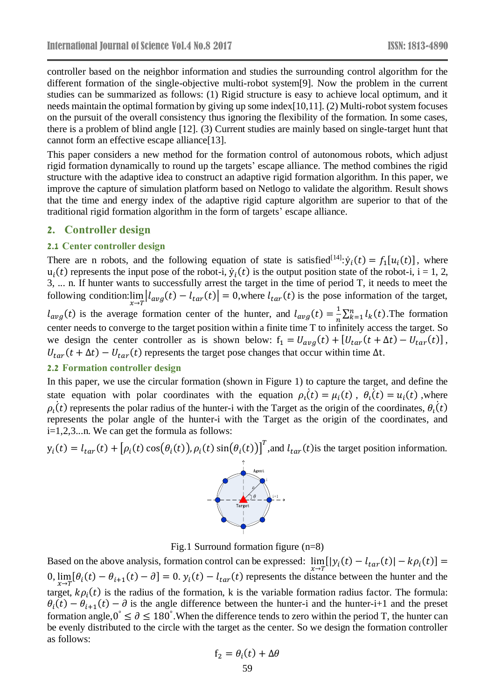controller based on the neighbor information and studies the surrounding control algorithm for the different formation of the single-objective multi-robot system[9]. Now the problem in the current studies can be summarized as follows: (1) Rigid structure is easy to achieve local optimum, and it needs maintain the optimal formation by giving up some index[10,11]. (2) Multi-robot system focuses on the pursuit of the overall consistency thus ignoring the flexibility of the formation. In some cases, there is a problem of blind angle [12]. (3) Current studies are mainly based on single-target hunt that cannot form an effective escape alliance[13].

This paper considers a new method for the formation control of autonomous robots, which adjust rigid formation dynamically to round up the targets' escape alliance. The method combines the rigid structure with the adaptive idea to construct an adaptive rigid formation algorithm. In this paper, we improve the capture of simulation platform based on Netlogo to validate the algorithm. Result shows that the time and energy index of the adaptive rigid capture algorithm are superior to that of the traditional rigid formation algorithm in the form of targets' escape alliance.

#### **2. Controller design**

#### **2.1 Center controller design**

There are n robots, and the following equation of state is satisfied<sup>[14]</sup>:  $\dot{y}_i(t) = f_1[u_i(t)]$ , where  $u_i(t)$  represents the input pose of the robot-i,  $\dot{y}_i(t)$  is the output position state of the robot-i, i = 1, 2, 3, ... n. If hunter wants to successfully arrest the target in the time of period T, it needs to meet the following condition: $\lim_{x\to T} |l_{avg}(t) - l_{tar}(t)| = 0$ , where  $l_{tar}(t)$  is the pose information of the target,

 $l_{avg}(t)$  is the average formation center of the hunter, and  $l_{avg}(t) = \frac{1}{n}$  $\frac{1}{n}\sum_{k=1}^{n} l_k(t)$ . The formation center needs to converge to the target position within a finite time T to infinitely access the target. So we design the center controller as is shown below:  $f_1 = U_{avg}(t) + [U_{tar}(t + \Delta t) - U_{tar}(t)],$  $U_{tar}(t + \Delta t) - U_{tar}(t)$  represents the target pose changes that occur within time  $\Delta t$ .

#### **2.2 Formation controller design**

In this paper, we use the circular formation (shown in Figure 1) to capture the target, and define the state equation with polar coordinates with the equation  $\rho_i(t) = \mu_i(t)$ ,  $\theta_i(t) = u_i(t)$ , where  $\rho_l(t)$  represents the polar radius of the hunter-i with the Target as the origin of the coordinates,  $\theta_l(t)$  $\ddot{\phantom{a}}$ ֧<u>֡</u> represents the polar angle of the hunter-i with the Target as the origin of the coordinates, and i=1,2,3...n. We can get the formula as follows:

 $y_i(t) = l_{tar}(t) + [\rho_i(t) \cos(\theta_i(t)), \rho_i(t) \sin(\theta_i(t))]^T$ , and  $l_{tar}(t)$  is the target position information.



Fig.1 Surround formation figure (n=8)

Based on the above analysis, formation control can be expressed:  $\lim_{x \to T} [y_i(t) - l_{tar}(t)] - k\rho_i(t)] =$  $0$ ,  $\lim_{x\to T}[\theta_i(t) - \theta_{i+1}(t) - \partial] = 0$ .  $y_i(t) - l_{tar}(t)$  represents the distance between the hunter and the target,  $k\rho_i(t)$  is the radius of the formation, k is the variable formation radius factor. The formula:  $\theta_i(t) - \theta_{i+1}(t) - \partial$  is the angle difference between the hunter-i and the hunter-i+1 and the preset formation angle,  $0^{\circ} \le \partial \le 180^{\circ}$ . When the difference tends to zero within the period T, the hunter can be evenly distributed to the circle with the target as the center. So we design the formation controller as follows:

$$
f_2 = \theta_i(t) + \Delta\theta
$$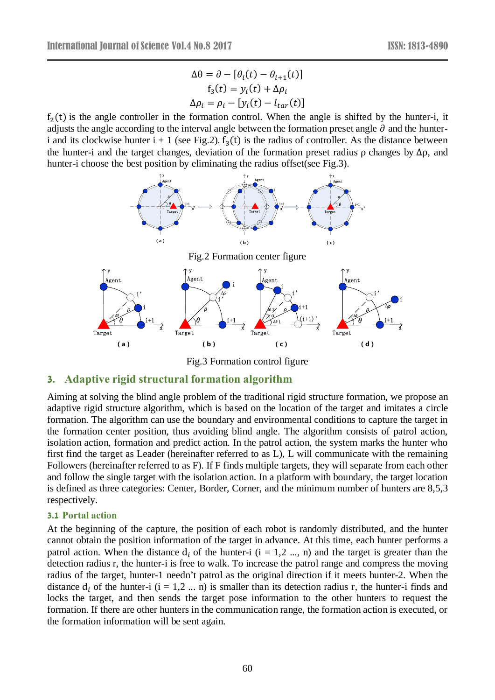$$
\Delta \theta = \partial - [\theta_i(t) - \theta_{i+1}(t)]
$$
  
\n
$$
f_3(t) = y_i(t) + \Delta \rho_i
$$
  
\n
$$
\Delta \rho_i = \rho_i - [y_i(t) - l_{tar}(t)]
$$

 $f<sub>2</sub>(t)$  is the angle controller in the formation control. When the angle is shifted by the hunter-i, it adjusts the angle according to the interval angle between the formation preset angle ∂ and the hunteri and its clockwise hunter  $i + 1$  (see Fig.2).  $f_3(t)$  is the radius of controller. As the distance between the hunter-i and the target changes, deviation of the formation preset radius  $\rho$  changes by  $\Delta \rho$ , and hunter-i choose the best position by eliminating the radius offset(see Fig.3).



Fig.3 Formation control figure

### **3. Adaptive rigid structural formation algorithm**

Aiming at solving the blind angle problem of the traditional rigid structure formation, we propose an adaptive rigid structure algorithm, which is based on the location of the target and imitates a circle formation. The algorithm can use the boundary and environmental conditions to capture the target in the formation center position, thus avoiding blind angle. The algorithm consists of patrol action, isolation action, formation and predict action. In the patrol action, the system marks the hunter who first find the target as Leader (hereinafter referred to as L), L will communicate with the remaining Followers (hereinafter referred to as F). If F finds multiple targets, they will separate from each other and follow the single target with the isolation action. In a platform with boundary, the target location is defined as three categories: Center, Border, Corner, and the minimum number of hunters are 8,5,3 respectively.

#### **3.1 Portal action**

At the beginning of the capture, the position of each robot is randomly distributed, and the hunter cannot obtain the position information of the target in advance. At this time, each hunter performs a patrol action. When the distance  $d_i$  of the hunter-i (i = 1,2 ..., n) and the target is greater than the detection radius r, the hunter-i is free to walk. To increase the patrol range and compress the moving radius of the target, hunter-1 needn't patrol as the original direction if it meets hunter-2. When the distance  $d_i$  of the hunter-i (i = 1,2 ... n) is smaller than its detection radius r, the hunter-i finds and locks the target, and then sends the target pose information to the other hunters to request the formation. If there are other hunters in the communication range, the formation action is executed, or the formation information will be sent again.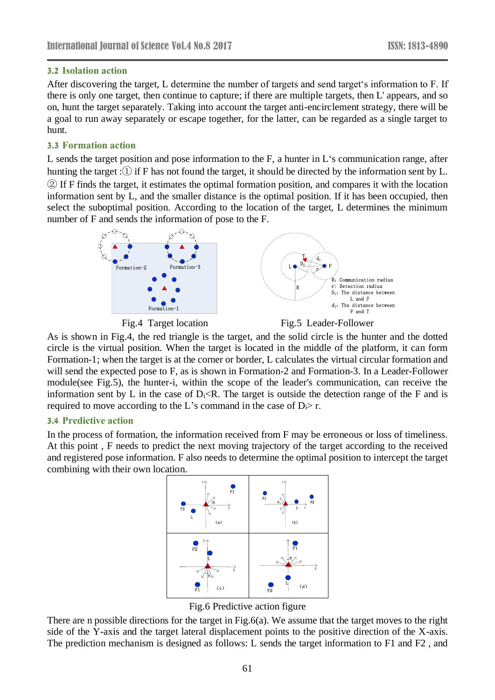#### **3.2 Isolation action**

After discovering the target, L determine the number of targets and send target's information to F. If there is only one target, then continue to capture; if there are multiple targets, then L' appears, and so on, hunt the target separately. Taking into account the target anti-encirclement strategy, there will be a goal to run away separately or escape together, for the latter, can be regarded as a single target to hunt.

### **3.3 Formation action**

L sends the target position and pose information to the F, a hunter in L's communication range, after hunting the target :① if F has not found the target, it should be directed by the information sent by L. ② If F finds the target, it estimates the optimal formation position, and compares it with the location information sent by L, and the smaller distance is the optimal position. If it has been occupied, then select the suboptimal position. According to the location of the target, L determines the minimum number of F and sends the information of pose to the F.



Fig.4 Target location Fig.5 Leader-Follower

As is shown in Fig.4, the red triangle is the target, and the solid circle is the hunter and the dotted circle is the virtual position. When the target is located in the middle of the platform, it can form Formation-1; when the target is at the corner or border, L calculates the virtual circular formation and will send the expected pose to F, as is shown in Formation-2 and Formation-3. In a Leader-Follower module(see Fig.5), the hunter-i, within the scope of the leader's communication, can receive the information sent by L in the case of  $D_i \lt R$ . The target is outside the detection range of the F and is required to move according to the L's command in the case of  $D_i$ > r.

#### **3.4 Predictive action**

In the process of formation, the information received from F may be erroneous or loss of timeliness. At this point , F needs to predict the next moving trajectory of the target according to the received and registered pose information. F also needs to determine the optimal position to intercept the target combining with their own location.



Fig.6 Predictive action figure

There are n possible directions for the target in Fig.6(a). We assume that the target moves to the right side of the Y-axis and the target lateral displacement points to the positive direction of the X-axis. The prediction mechanism is designed as follows: L sends the target information to F1 and F2 , and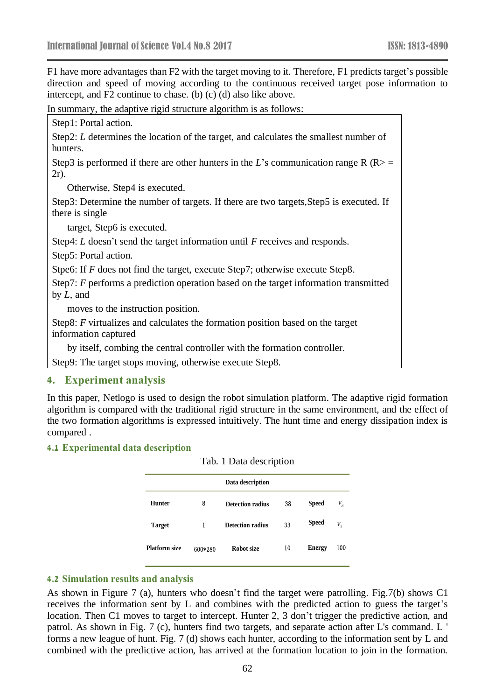F1 have more advantages than F2 with the target moving to it. Therefore, F1 predicts target's possible direction and speed of moving according to the continuous received target pose information to intercept, and F2 continue to chase. (b) (c) (d) also like above.

In summary, the adaptive rigid structure algorithm is as follows:

|                                                                                                            | Step1: Portal action.                                                                                  |  |  |  |  |  |  |  |
|------------------------------------------------------------------------------------------------------------|--------------------------------------------------------------------------------------------------------|--|--|--|--|--|--|--|
|                                                                                                            | Step2: L determines the location of the target, and calculates the smallest number of<br>hunters.      |  |  |  |  |  |  |  |
|                                                                                                            | Step3 is performed if there are other hunters in the L's communication range R (R> =<br>$2r$ ).        |  |  |  |  |  |  |  |
|                                                                                                            | Otherwise, Step4 is executed.                                                                          |  |  |  |  |  |  |  |
| Step3: Determine the number of targets. If there are two targets, Step5 is executed. If<br>there is single |                                                                                                        |  |  |  |  |  |  |  |
|                                                                                                            | target, Step6 is executed.                                                                             |  |  |  |  |  |  |  |
|                                                                                                            | Step4: $L$ doesn't send the target information until $F$ receives and responds.                        |  |  |  |  |  |  |  |
|                                                                                                            | Step5: Portal action.                                                                                  |  |  |  |  |  |  |  |
|                                                                                                            | Stpe6: If $F$ does not find the target, execute Step7; otherwise execute Step8.                        |  |  |  |  |  |  |  |
|                                                                                                            | Step7: F performs a prediction operation based on the target information transmitted<br>by $L$ , and   |  |  |  |  |  |  |  |
|                                                                                                            | moves to the instruction position.                                                                     |  |  |  |  |  |  |  |
|                                                                                                            | Step8: F virtualizes and calculates the formation position based on the target<br>information captured |  |  |  |  |  |  |  |
|                                                                                                            | by itself, combing the central controller with the formation controller.                               |  |  |  |  |  |  |  |
|                                                                                                            | $\Omega_{t}$ on $\Omega$ . The term of theme in extra the method can control $\Omega_{t}$ on $\Omega$  |  |  |  |  |  |  |  |

Step9: The target stops moving, otherwise execute Step8.

#### **4. Experiment analysis**

In this paper, Netlogo is used to design the robot simulation platform. The adaptive rigid formation algorithm is compared with the traditional rigid structure in the same environment, and the effect of the two formation algorithms is expressed intuitively. The hunt time and energy dissipation index is compared .

#### **4.1 Experimental data description**

| Tab. 1 Data description |         |                         |    |               |                            |
|-------------------------|---------|-------------------------|----|---------------|----------------------------|
| Data description        |         |                         |    |               |                            |
| Hunter                  | 8       | <b>Detection radius</b> | 38 | <b>Speed</b>  | $V_{\scriptscriptstyle H}$ |
| <b>Target</b>           |         | <b>Detection radius</b> | 33 | <b>Speed</b>  | $V_{\tau}$                 |
| <b>Platform size</b>    | 600*280 | Robot size              | 10 | <b>Energy</b> | 100                        |

### **4.2 Simulation results and analysis**

As shown in Figure 7 (a), hunters who doesn't find the target were patrolling. Fig.7(b) shows C1 receives the information sent by L and combines with the predicted action to guess the target's location. Then C1 moves to target to intercept. Hunter 2, 3 don't trigger the predictive action, and patrol. As shown in Fig. 7 (c), hunters find two targets, and separate action after L's command. L ' forms a new league of hunt. Fig. 7 (d) shows each hunter, according to the information sent by L and combined with the predictive action, has arrived at the formation location to join in the formation.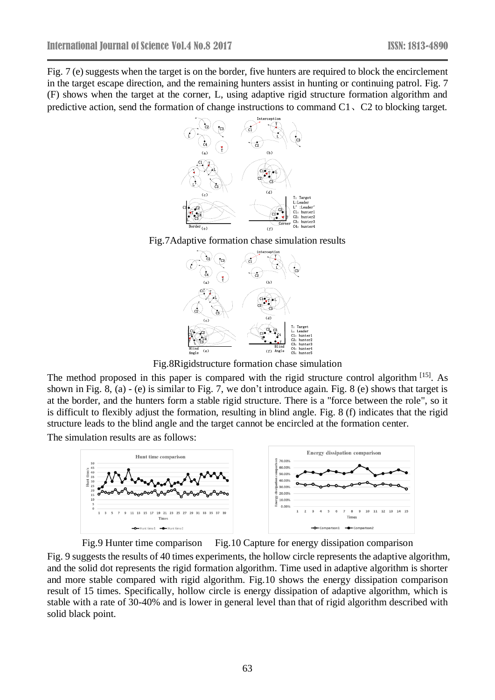Fig. 7 (e) suggests when the target is on the border, five hunters are required to block the encirclement in the target escape direction, and the remaining hunters assist in hunting or continuing patrol. Fig. 7 (F) shows when the target at the corner, L, using adaptive rigid structure formation algorithm and predictive action, send the formation of change instructions to command C1、C2 to blocking target.







(d)

(c)

Fig.8Rigidstructure formation chase simulation

The method proposed in this paper is compared with the rigid structure control algorithm [15]. As shown in Fig. 8, (a) - (e) is similar to Fig. 7, we don't introduce again. Fig. 8 (e) shows that target is at the border, and the hunters form a stable rigid structure. There is a "force between the role", so it is difficult to flexibly adjust the formation, resulting in blind angle. Fig. 8 (f) indicates that the rigid structure leads to the blind angle and the target cannot be encircled at the formation center.

The simulation results are as follows:



Fig.9 Hunter time comparison Fig.10 Capture for energy dissipation comparison

Fig. 9 suggests the results of 40 times experiments, the hollow circle represents the adaptive algorithm, and the solid dot represents the rigid formation algorithm. Time used in adaptive algorithm is shorter and more stable compared with rigid algorithm. Fig.10 shows the energy dissipation comparison result of 15 times. Specifically, hollow circle is energy dissipation of adaptive algorithm, which is stable with a rate of 30-40% and is lower in general level than that of rigid algorithm described with solid black point.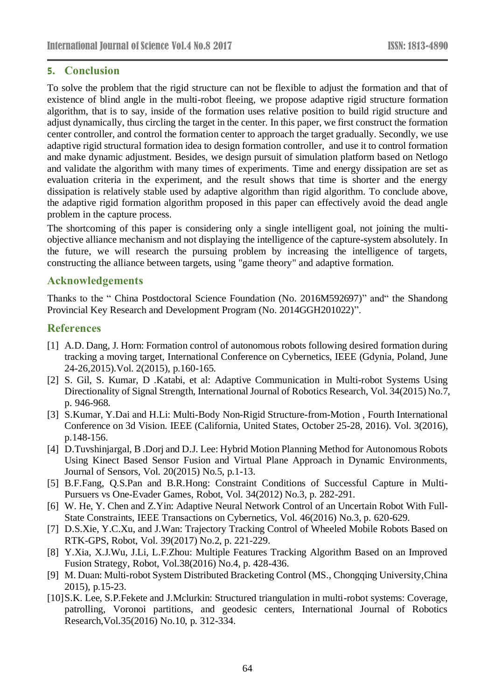## **5. Conclusion**

To solve the problem that the rigid structure can not be flexible to adjust the formation and that of existence of blind angle in the multi-robot fleeing, we propose adaptive rigid structure formation algorithm, that is to say, inside of the formation uses relative position to build rigid structure and adjust dynamically, thus circling the target in the center. In this paper, we first construct the formation center controller, and control the formation center to approach the target gradually. Secondly, we use adaptive rigid structural formation idea to design formation controller, and use it to control formation and make dynamic adjustment. Besides, we design pursuit of simulation platform based on Netlogo and validate the algorithm with many times of experiments. Time and energy dissipation are set as evaluation criteria in the experiment, and the result shows that time is shorter and the energy dissipation is relatively stable used by adaptive algorithm than rigid algorithm. To conclude above, the adaptive rigid formation algorithm proposed in this paper can effectively avoid the dead angle problem in the capture process.

The shortcoming of this paper is considering only a single intelligent goal, not joining the multiobjective alliance mechanism and not displaying the intelligence of the capture-system absolutely. In the future, we will research the pursuing problem by increasing the intelligence of targets, constructing the alliance between targets, using "game theory" and adaptive formation.

### **Acknowledgements**

Thanks to the " China Postdoctoral Science Foundation (No. 2016M592697)" and" the Shandong Provincial Key Research and Development Program (No. 2014GGH201022)".

## **References**

- [1] A.D. Dang, J. Horn: Formation control of autonomous robots following desired formation during tracking a moving target, International Conference on Cybernetics, IEEE (Gdynia, Poland, June 24-26,2015).Vol. 2(2015), p.160-165.
- [2] S. Gil, S. Kumar, D .Katabi, et al: Adaptive Communication in Multi-robot Systems Using Directionality of Signal Strength, International Journal of Robotics Research, Vol. 34(2015) No.7, p. 946-968.
- [3] S.Kumar, Y.Dai and H.Li: Multi-Body Non-Rigid Structure-from-Motion , Fourth International Conference on 3d Vision. IEEE (California, United States, October 25-28, 2016). Vol. 3(2016), p.148-156.
- [4] D.Tuvshinjargal, B .Dorj and D.J. Lee: Hybrid Motion Planning Method for Autonomous Robots Using Kinect Based Sensor Fusion and Virtual Plane Approach in Dynamic Environments, Journal of Sensors, Vol. 20(2015) No.5, p.1-13.
- [5] B.F.Fang, Q.S.Pan and B.R.Hong: Constraint Conditions of Successful Capture in Multi-Pursuers vs One-Evader Games, Robot, Vol. 34(2012) No.3, p. 282-291.
- [6] W. He, Y. Chen and Z.Yin: Adaptive Neural Network Control of an Uncertain Robot With Full-State Constraints, IEEE Transactions on Cybernetics, Vol. 46(2016) No.3, p. 620-629.
- [7] D.S.Xie, Y.C.Xu, and J.Wan: Trajectory Tracking Control of Wheeled Mobile Robots Based on RTK-GPS, Robot, Vol. 39(2017) No.2, p. 221-229.
- [8] Y.Xia, X.J.Wu, J.Li, L.F.Zhou: Multiple Features Tracking Algorithm Based on an Improved Fusion Strategy, Robot, Vol.38(2016) No.4, p. 428-436.
- [9] M. Duan: Multi-robot System Distributed Bracketing Control (MS., Chongqing University,China 2015), p.15-23.
- [10] S.K. Lee, S.P. Fekete and J. Mclurkin: Structured triangulation in multi-robot systems: Coverage, patrolling, Voronoi partitions, and geodesic centers, International Journal of Robotics Research,Vol.35(2016) No.10, p. 312-334.